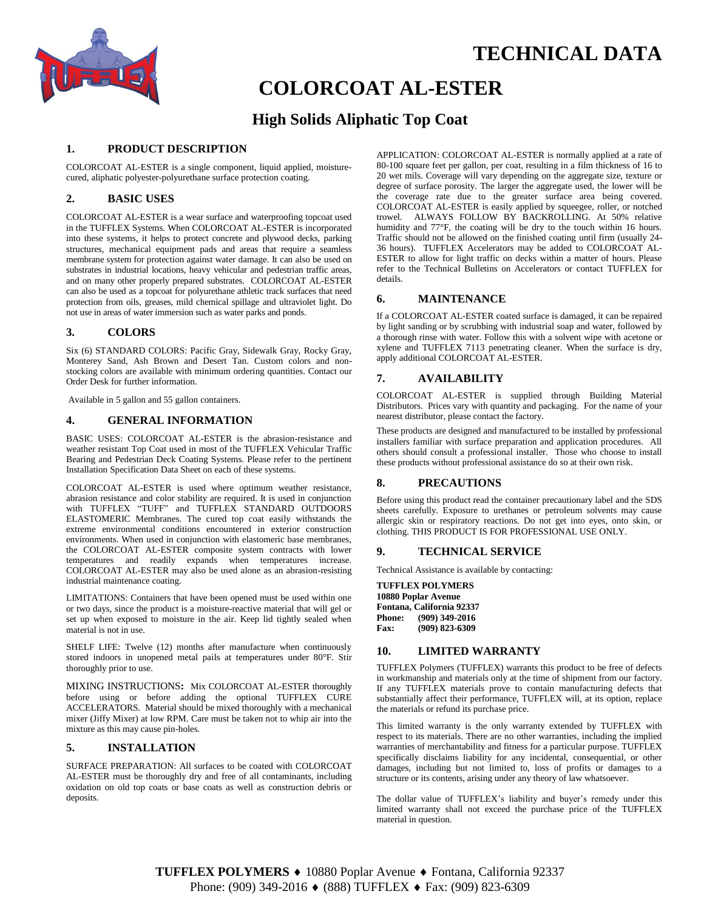

# **TECHNICAL DATA**

# **COLORCOAT AL-ESTER**

# **High Solids Aliphatic Top Coat**

## **1. PRODUCT DESCRIPTION**

COLORCOAT AL-ESTER is a single component, liquid applied, moisturecured, aliphatic polyester-polyurethane surface protection coating.

## **2. BASIC USES**

COLORCOAT AL-ESTER is a wear surface and waterproofing topcoat used in the TUFFLEX Systems. When COLORCOAT AL-ESTER is incorporated into these systems, it helps to protect concrete and plywood decks, parking structures, mechanical equipment pads and areas that require a seamless membrane system for protection against water damage. It can also be used on substrates in industrial locations, heavy vehicular and pedestrian traffic areas, and on many other properly prepared substrates. COLORCOAT AL-ESTER can also be used as a topcoat for polyurethane athletic track surfaces that need protection from oils, greases, mild chemical spillage and ultraviolet light. Do not use in areas of water immersion such as water parks and ponds.

## **3. COLORS**

Six (6) STANDARD COLORS: Pacific Gray, Sidewalk Gray, Rocky Gray, Monterey Sand, Ash Brown and Desert Tan. Custom colors and nonstocking colors are available with minimum ordering quantities. Contact our Order Desk for further information.

Available in 5 gallon and 55 gallon containers.

#### **4. GENERAL INFORMATION**

BASIC USES: COLORCOAT AL-ESTER is the abrasion-resistance and weather resistant Top Coat used in most of the TUFFLEX Vehicular Traffic Bearing and Pedestrian Deck Coating Systems. Please refer to the pertinent Installation Specification Data Sheet on each of these systems.

COLORCOAT AL-ESTER is used where optimum weather resistance, abrasion resistance and color stability are required. It is used in conjunction with TUFFLEX "TUFF" and TUFFLEX STANDARD OUTDOORS ELASTOMERIC Membranes. The cured top coat easily withstands the extreme environmental conditions encountered in exterior construction environments. When used in conjunction with elastomeric base membranes, the COLORCOAT AL-ESTER composite system contracts with lower temperatures and readily expands when temperatures increase. COLORCOAT AL-ESTER may also be used alone as an abrasion-resisting industrial maintenance coating.

LIMITATIONS: Containers that have been opened must be used within one or two days, since the product is a moisture-reactive material that will gel or set up when exposed to moisture in the air. Keep lid tightly sealed when material is not in use.

SHELF LIFE: Twelve (12) months after manufacture when continuously stored indoors in unopened metal pails at temperatures under 80°F. Stir thoroughly prior to use.

MIXING INSTRUCTIONS**:** Mix COLORCOAT AL-ESTER thoroughly before using or before adding the optional TUFFLEX CURE ACCELERATORS. Material should be mixed thoroughly with a mechanical mixer (Jiffy Mixer) at low RPM. Care must be taken not to whip air into the mixture as this may cause pin-holes.

#### **5. INSTALLATION**

SURFACE PREPARATION: All surfaces to be coated with COLORCOAT AL-ESTER must be thoroughly dry and free of all contaminants, including oxidation on old top coats or base coats as well as construction debris or deposits.

APPLICATION: COLORCOAT AL-ESTER is normally applied at a rate of 80-100 square feet per gallon, per coat, resulting in a film thickness of 16 to 20 wet mils. Coverage will vary depending on the aggregate size, texture or degree of surface porosity. The larger the aggregate used, the lower will be the coverage rate due to the greater surface area being covered. COLORCOAT AL-ESTER is easily applied by squeegee, roller, or notched trowel. ALWAYS FOLLOW BY BACKROLLING. At 50% relative humidity and 77°F, the coating will be dry to the touch within 16 hours. Traffic should not be allowed on the finished coating until firm (usually 24- 36 hours). TUFFLEX Accelerators may be added to COLORCOAT AL-ESTER to allow for light traffic on decks within a matter of hours. Please refer to the Technical Bulletins on Accelerators or contact TUFFLEX for details.

### **6. MAINTENANCE**

If a COLORCOAT AL-ESTER coated surface is damaged, it can be repaired by light sanding or by scrubbing with industrial soap and water, followed by a thorough rinse with water. Follow this with a solvent wipe with acetone or xylene and TUFFLEX 7113 penetrating cleaner*.* When the surface is dry, apply additional COLORCOAT AL-ESTER.

#### **7. AVAILABILITY**

COLORCOAT AL-ESTER is supplied through Building Material Distributors. Prices vary with quantity and packaging. For the name of your nearest distributor, please contact the factory.

These products are designed and manufactured to be installed by professional installers familiar with surface preparation and application procedures. All others should consult a professional installer. Those who choose to install these products without professional assistance do so at their own risk.

### **8. PRECAUTIONS**

Before using this product read the container precautionary label and the SDS sheets carefully. Exposure to urethanes or petroleum solvents may cause allergic skin or respiratory reactions. Do not get into eyes, onto skin, or clothing. THIS PRODUCT IS FOR PROFESSIONAL USE ONLY.

#### **9. TECHNICAL SERVICE**

Technical Assistance is available by contacting:

**TUFFLEX POLYMERS 10880 Poplar Avenue Fontana, California 92337 Phone: (909) 349-2016 Fax: (909) 823-6309**

#### **10. LIMITED WARRANTY**

TUFFLEX Polymers (TUFFLEX) warrants this product to be free of defects in workmanship and materials only at the time of shipment from our factory. If any TUFFLEX materials prove to contain manufacturing defects that substantially affect their performance, TUFFLEX will, at its option, replace the materials or refund its purchase price.

This limited warranty is the only warranty extended by TUFFLEX with respect to its materials. There are no other warranties, including the implied warranties of merchantability and fitness for a particular purpose. TUFFLEX specifically disclaims liability for any incidental, consequential, or other damages, including but not limited to, loss of profits or damages to a structure or its contents, arising under any theory of law whatsoever.

The dollar value of TUFFLEX's liability and buyer's remedy under this limited warranty shall not exceed the purchase price of the TUFFLEX material in question.

TUFFLEX POLYMERS ♦ 10880 Poplar Avenue ♦ Fontana, California 92337 Phone: (909) 349-2016 ♦ (888) TUFFLEX ♦ Fax: (909) 823-6309